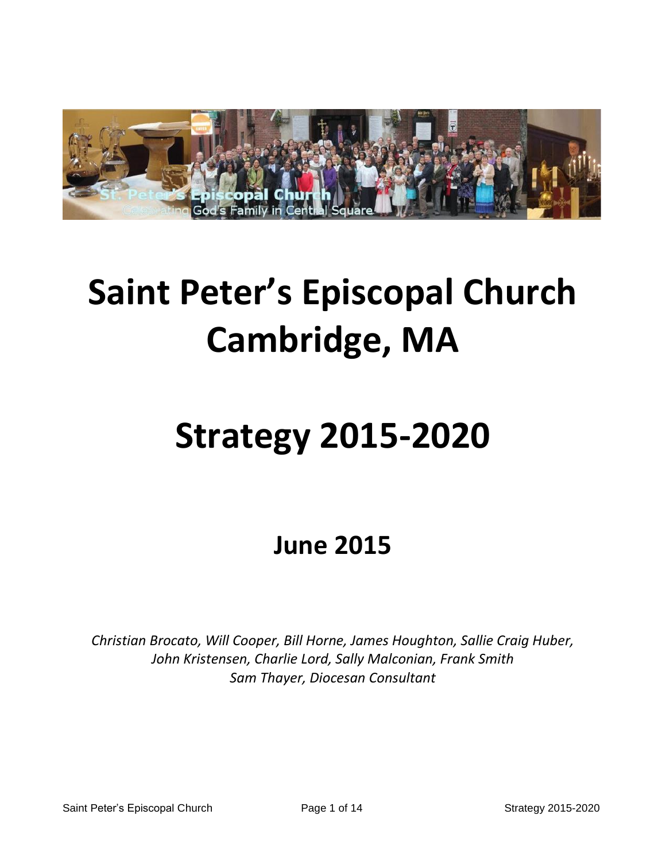

# **Saint Peter's Episcopal Church Cambridge, MA**

# **Strategy 2015-2020**

**June 2015**

*Christian Brocato, Will Cooper, Bill Horne, James Houghton, Sallie Craig Huber, John Kristensen, Charlie Lord, Sally Malconian, Frank Smith Sam Thayer, Diocesan Consultant*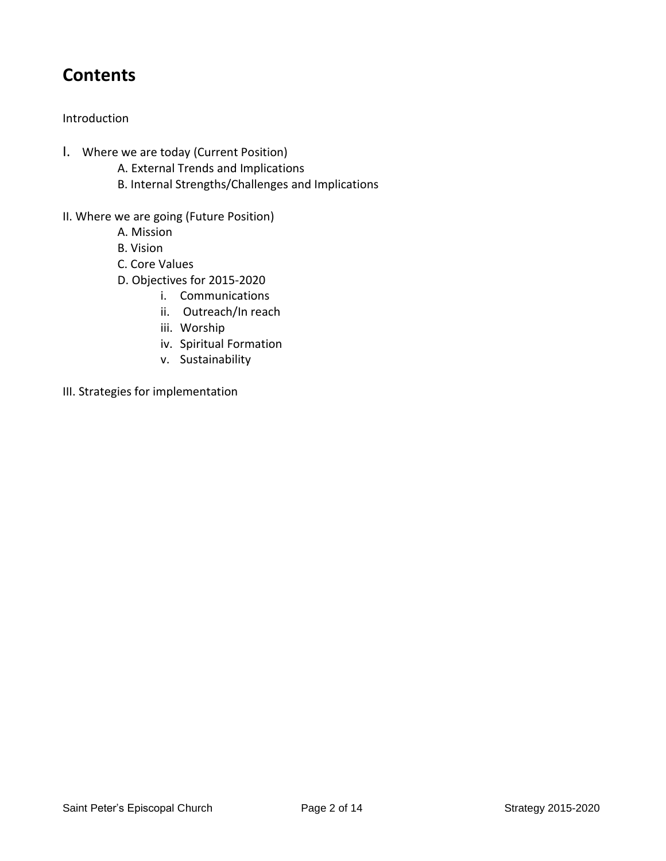## **Contents**

#### Introduction

- I. Where we are today (Current Position)
	- A. External Trends and Implications
	- B. Internal Strengths/Challenges and Implications
- II. Where we are going (Future Position)
	- A. Mission
	- B. Vision
	- C. Core Values
	- D. Objectives for 2015-2020
		- i. Communications
		- ii. Outreach/In reach
		- iii. Worship
		- iv. Spiritual Formation
		- v. Sustainability
- III. Strategies for implementation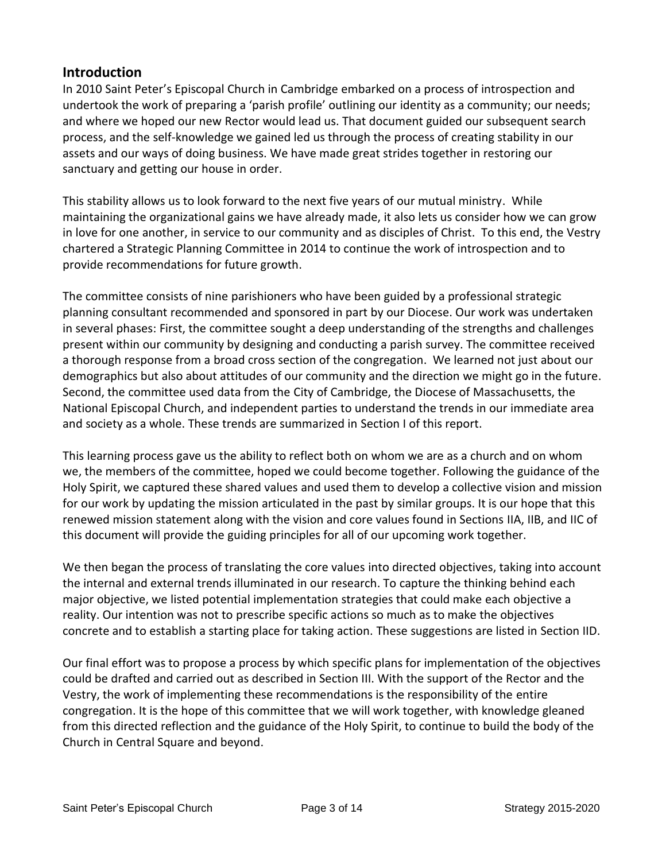#### **Introduction**

In 2010 Saint Peter's Episcopal Church in Cambridge embarked on a process of introspection and undertook the work of preparing a 'parish profile' outlining our identity as a community; our needs; and where we hoped our new Rector would lead us. That document guided our subsequent search process, and the self-knowledge we gained led us through the process of creating stability in our assets and our ways of doing business. We have made great strides together in restoring our sanctuary and getting our house in order.

This stability allows us to look forward to the next five years of our mutual ministry. While maintaining the organizational gains we have already made, it also lets us consider how we can grow in love for one another, in service to our community and as disciples of Christ. To this end, the Vestry chartered a Strategic Planning Committee in 2014 to continue the work of introspection and to provide recommendations for future growth.

The committee consists of nine parishioners who have been guided by a professional strategic planning consultant recommended and sponsored in part by our Diocese. Our work was undertaken in several phases: First, the committee sought a deep understanding of the strengths and challenges present within our community by designing and conducting a parish survey. The committee received a thorough response from a broad cross section of the congregation. We learned not just about our demographics but also about attitudes of our community and the direction we might go in the future. Second, the committee used data from the City of Cambridge, the Diocese of Massachusetts, the National Episcopal Church, and independent parties to understand the trends in our immediate area and society as a whole. These trends are summarized in Section I of this report.

This learning process gave us the ability to reflect both on whom we are as a church and on whom we, the members of the committee, hoped we could become together. Following the guidance of the Holy Spirit, we captured these shared values and used them to develop a collective vision and mission for our work by updating the mission articulated in the past by similar groups. It is our hope that this renewed mission statement along with the vision and core values found in Sections IIA, IIB, and IIC of this document will provide the guiding principles for all of our upcoming work together.

We then began the process of translating the core values into directed objectives, taking into account the internal and external trends illuminated in our research. To capture the thinking behind each major objective, we listed potential implementation strategies that could make each objective a reality. Our intention was not to prescribe specific actions so much as to make the objectives concrete and to establish a starting place for taking action. These suggestions are listed in Section IID.

Our final effort was to propose a process by which specific plans for implementation of the objectives could be drafted and carried out as described in Section III. With the support of the Rector and the Vestry, the work of implementing these recommendations is the responsibility of the entire congregation. It is the hope of this committee that we will work together, with knowledge gleaned from this directed reflection and the guidance of the Holy Spirit, to continue to build the body of the Church in Central Square and beyond.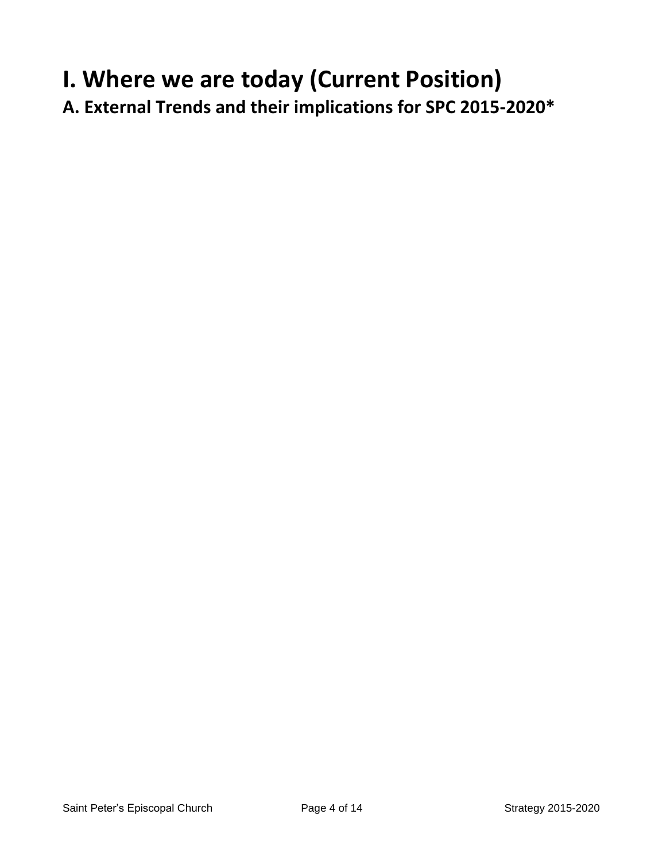# **I. Where we are today (Current Position)**

**A. External Trends and their implications for SPC 2015-2020\***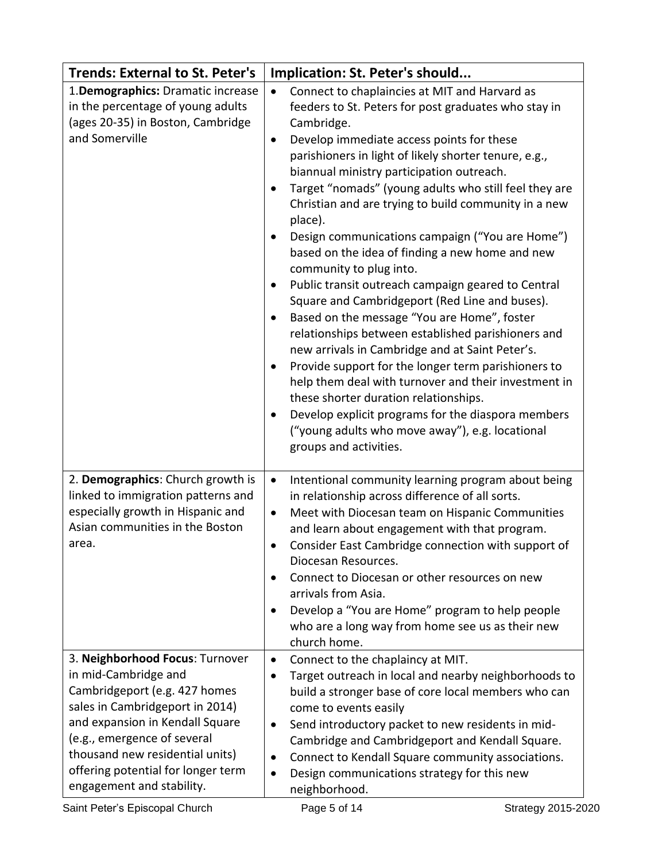| <b>Trends: External to St. Peter's</b>                                                                                                                                                                                                                                                              | Implication: St. Peter's should                                                                                                                                                                                                                                                                                                                                                                                                                                                                                                                                                                                                                                                                                                                                                                                                                                                                                                                                                                                                                                                                                                    |
|-----------------------------------------------------------------------------------------------------------------------------------------------------------------------------------------------------------------------------------------------------------------------------------------------------|------------------------------------------------------------------------------------------------------------------------------------------------------------------------------------------------------------------------------------------------------------------------------------------------------------------------------------------------------------------------------------------------------------------------------------------------------------------------------------------------------------------------------------------------------------------------------------------------------------------------------------------------------------------------------------------------------------------------------------------------------------------------------------------------------------------------------------------------------------------------------------------------------------------------------------------------------------------------------------------------------------------------------------------------------------------------------------------------------------------------------------|
| 1.Demographics: Dramatic increase<br>in the percentage of young adults<br>(ages 20-35) in Boston, Cambridge<br>and Somerville                                                                                                                                                                       | Connect to chaplaincies at MIT and Harvard as<br>$\bullet$<br>feeders to St. Peters for post graduates who stay in<br>Cambridge.<br>Develop immediate access points for these<br>$\bullet$<br>parishioners in light of likely shorter tenure, e.g.,<br>biannual ministry participation outreach.<br>Target "nomads" (young adults who still feel they are<br>$\bullet$<br>Christian and are trying to build community in a new<br>place).<br>Design communications campaign ("You are Home")<br>٠<br>based on the idea of finding a new home and new<br>community to plug into.<br>Public transit outreach campaign geared to Central<br>Square and Cambridgeport (Red Line and buses).<br>Based on the message "You are Home", foster<br>٠<br>relationships between established parishioners and<br>new arrivals in Cambridge and at Saint Peter's.<br>Provide support for the longer term parishioners to<br>$\bullet$<br>help them deal with turnover and their investment in<br>these shorter duration relationships.<br>Develop explicit programs for the diaspora members<br>("young adults who move away"), e.g. locational |
| 2. Demographics: Church growth is<br>linked to immigration patterns and<br>especially growth in Hispanic and<br>Asian communities in the Boston<br>area.                                                                                                                                            | groups and activities.<br>Intentional community learning program about being<br>$\bullet$<br>in relationship across difference of all sorts.<br>Meet with Diocesan team on Hispanic Communities<br>$\bullet$<br>and learn about engagement with that program.<br>Consider East Cambridge connection with support of<br>Diocesan Resources.<br>Connect to Diocesan or other resources on new<br>arrivals from Asia.<br>Develop a "You are Home" program to help people<br>who are a long way from home see us as their new                                                                                                                                                                                                                                                                                                                                                                                                                                                                                                                                                                                                          |
| 3. Neighborhood Focus: Turnover<br>in mid-Cambridge and<br>Cambridgeport (e.g. 427 homes<br>sales in Cambridgeport in 2014)<br>and expansion in Kendall Square<br>(e.g., emergence of several<br>thousand new residential units)<br>offering potential for longer term<br>engagement and stability. | church home.<br>Connect to the chaplaincy at MIT.<br>$\bullet$<br>Target outreach in local and nearby neighborhoods to<br>$\bullet$<br>build a stronger base of core local members who can<br>come to events easily<br>Send introductory packet to new residents in mid-<br>$\bullet$<br>Cambridge and Cambridgeport and Kendall Square.<br>Connect to Kendall Square community associations.<br>$\bullet$<br>Design communications strategy for this new<br>$\bullet$                                                                                                                                                                                                                                                                                                                                                                                                                                                                                                                                                                                                                                                             |
| Saint Peter's Episcopal Church                                                                                                                                                                                                                                                                      | neighborhood.<br>Page 5 of 14<br>Strategy 2015-2020                                                                                                                                                                                                                                                                                                                                                                                                                                                                                                                                                                                                                                                                                                                                                                                                                                                                                                                                                                                                                                                                                |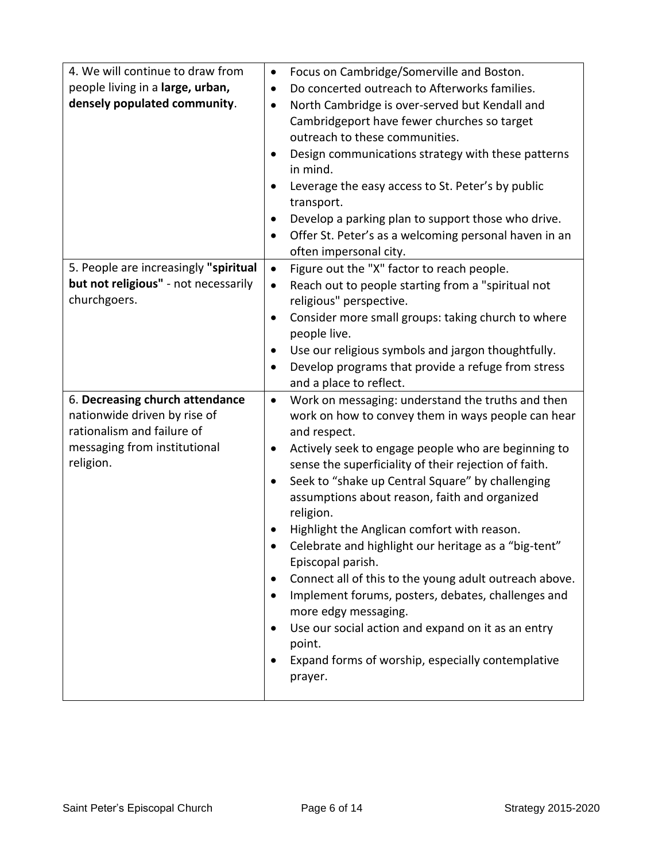| 4. We will continue to draw from<br>people living in a large, urban,<br>densely populated community.                                       | Focus on Cambridge/Somerville and Boston.<br>$\bullet$<br>Do concerted outreach to Afterworks families.<br>$\bullet$<br>North Cambridge is over-served but Kendall and<br>$\bullet$<br>Cambridgeport have fewer churches so target<br>outreach to these communities.<br>Design communications strategy with these patterns<br>in mind.<br>Leverage the easy access to St. Peter's by public<br>٠<br>transport.<br>Develop a parking plan to support those who drive.<br>$\bullet$<br>Offer St. Peter's as a welcoming personal haven in an<br>$\bullet$<br>often impersonal city.                                                                                                                                                                                                                                              |
|--------------------------------------------------------------------------------------------------------------------------------------------|--------------------------------------------------------------------------------------------------------------------------------------------------------------------------------------------------------------------------------------------------------------------------------------------------------------------------------------------------------------------------------------------------------------------------------------------------------------------------------------------------------------------------------------------------------------------------------------------------------------------------------------------------------------------------------------------------------------------------------------------------------------------------------------------------------------------------------|
| 5. People are increasingly "spiritual<br>but not religious" - not necessarily<br>churchgoers.                                              | Figure out the "X" factor to reach people.<br>$\bullet$<br>Reach out to people starting from a "spiritual not<br>$\bullet$<br>religious" perspective.<br>Consider more small groups: taking church to where<br>$\bullet$<br>people live.<br>Use our religious symbols and jargon thoughtfully.<br>$\bullet$<br>Develop programs that provide a refuge from stress<br>$\bullet$<br>and a place to reflect.                                                                                                                                                                                                                                                                                                                                                                                                                      |
| 6. Decreasing church attendance<br>nationwide driven by rise of<br>rationalism and failure of<br>messaging from institutional<br>religion. | Work on messaging: understand the truths and then<br>$\bullet$<br>work on how to convey them in ways people can hear<br>and respect.<br>Actively seek to engage people who are beginning to<br>$\bullet$<br>sense the superficiality of their rejection of faith.<br>Seek to "shake up Central Square" by challenging<br>$\bullet$<br>assumptions about reason, faith and organized<br>religion.<br>Highlight the Anglican comfort with reason.<br>Celebrate and highlight our heritage as a "big-tent"<br>Episcopal parish.<br>Connect all of this to the young adult outreach above.<br>$\bullet$<br>Implement forums, posters, debates, challenges and<br>more edgy messaging.<br>Use our social action and expand on it as an entry<br>$\bullet$<br>point.<br>Expand forms of worship, especially contemplative<br>prayer. |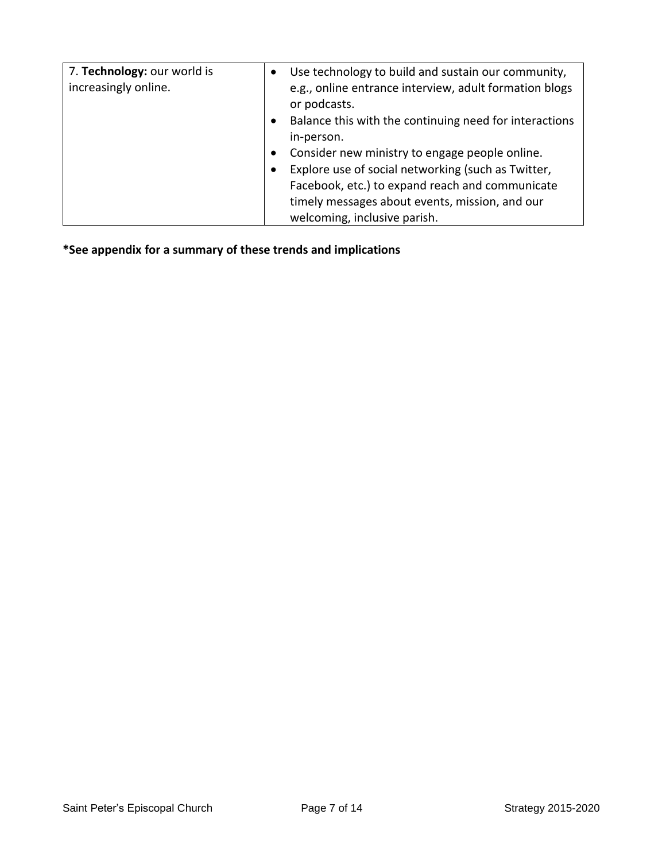| 7. Technology: our world is<br>increasingly online. | Use technology to build and sustain our community,<br>e.g., online entrance interview, adult formation blogs<br>or podcasts.<br>Balance this with the continuing need for interactions<br>٠<br>in-person.<br>Consider new ministry to engage people online.<br>٠<br>Explore use of social networking (such as Twitter,<br>$\bullet$<br>Facebook, etc.) to expand reach and communicate<br>timely messages about events, mission, and our<br>welcoming, inclusive parish. |
|-----------------------------------------------------|--------------------------------------------------------------------------------------------------------------------------------------------------------------------------------------------------------------------------------------------------------------------------------------------------------------------------------------------------------------------------------------------------------------------------------------------------------------------------|
|-----------------------------------------------------|--------------------------------------------------------------------------------------------------------------------------------------------------------------------------------------------------------------------------------------------------------------------------------------------------------------------------------------------------------------------------------------------------------------------------------------------------------------------------|

**\*See appendix for a summary of these trends and implications**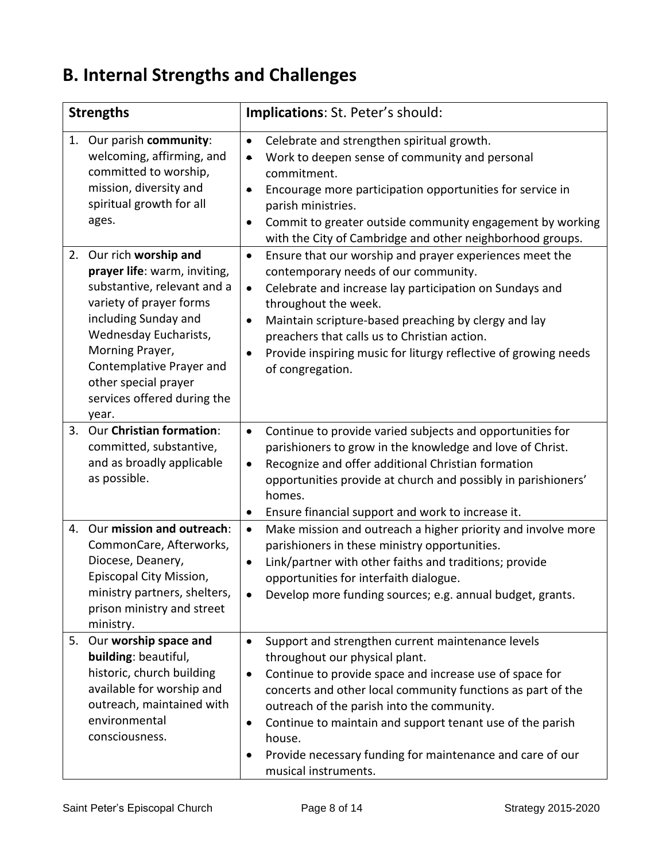# **B. Internal Strengths and Challenges**

|    | <b>Strengths</b>                                                                                                                                                                                                                                                               | Implications: St. Peter's should:                                                                                                                                                                                                                                                                                                                                                                                                                                   |
|----|--------------------------------------------------------------------------------------------------------------------------------------------------------------------------------------------------------------------------------------------------------------------------------|---------------------------------------------------------------------------------------------------------------------------------------------------------------------------------------------------------------------------------------------------------------------------------------------------------------------------------------------------------------------------------------------------------------------------------------------------------------------|
| 1. | Our parish community:<br>welcoming, affirming, and<br>committed to worship,<br>mission, diversity and<br>spiritual growth for all<br>ages.                                                                                                                                     | Celebrate and strengthen spiritual growth.<br>$\bullet$<br>Work to deepen sense of community and personal<br>$\bullet$<br>commitment.<br>Encourage more participation opportunities for service in<br>$\bullet$<br>parish ministries.<br>Commit to greater outside community engagement by working<br>with the City of Cambridge and other neighborhood groups.                                                                                                     |
| 2. | Our rich worship and<br>prayer life: warm, inviting,<br>substantive, relevant and a<br>variety of prayer forms<br>including Sunday and<br>Wednesday Eucharists,<br>Morning Prayer,<br>Contemplative Prayer and<br>other special prayer<br>services offered during the<br>year. | Ensure that our worship and prayer experiences meet the<br>$\bullet$<br>contemporary needs of our community.<br>Celebrate and increase lay participation on Sundays and<br>$\bullet$<br>throughout the week.<br>Maintain scripture-based preaching by clergy and lay<br>$\bullet$<br>preachers that calls us to Christian action.<br>Provide inspiring music for liturgy reflective of growing needs<br>of congregation.                                            |
| 3. | Our Christian formation:<br>committed, substantive,<br>and as broadly applicable<br>as possible.                                                                                                                                                                               | Continue to provide varied subjects and opportunities for<br>$\bullet$<br>parishioners to grow in the knowledge and love of Christ.<br>Recognize and offer additional Christian formation<br>٠<br>opportunities provide at church and possibly in parishioners'<br>homes.<br>Ensure financial support and work to increase it.<br>$\bullet$                                                                                                                         |
| 4. | Our mission and outreach:<br>CommonCare, Afterworks,<br>Diocese, Deanery,<br>Episcopal City Mission,<br>ministry partners, shelters,<br>prison ministry and street<br>ministry.                                                                                                | Make mission and outreach a higher priority and involve more<br>$\bullet$<br>parishioners in these ministry opportunities.<br>Link/partner with other faiths and traditions; provide<br>$\bullet$<br>opportunities for interfaith dialogue.<br>Develop more funding sources; e.g. annual budget, grants.                                                                                                                                                            |
| 5. | Our worship space and<br>building: beautiful,<br>historic, church building<br>available for worship and<br>outreach, maintained with<br>environmental<br>consciousness.                                                                                                        | Support and strengthen current maintenance levels<br>$\bullet$<br>throughout our physical plant.<br>Continue to provide space and increase use of space for<br>$\bullet$<br>concerts and other local community functions as part of the<br>outreach of the parish into the community.<br>Continue to maintain and support tenant use of the parish<br>$\bullet$<br>house.<br>Provide necessary funding for maintenance and care of our<br>٠<br>musical instruments. |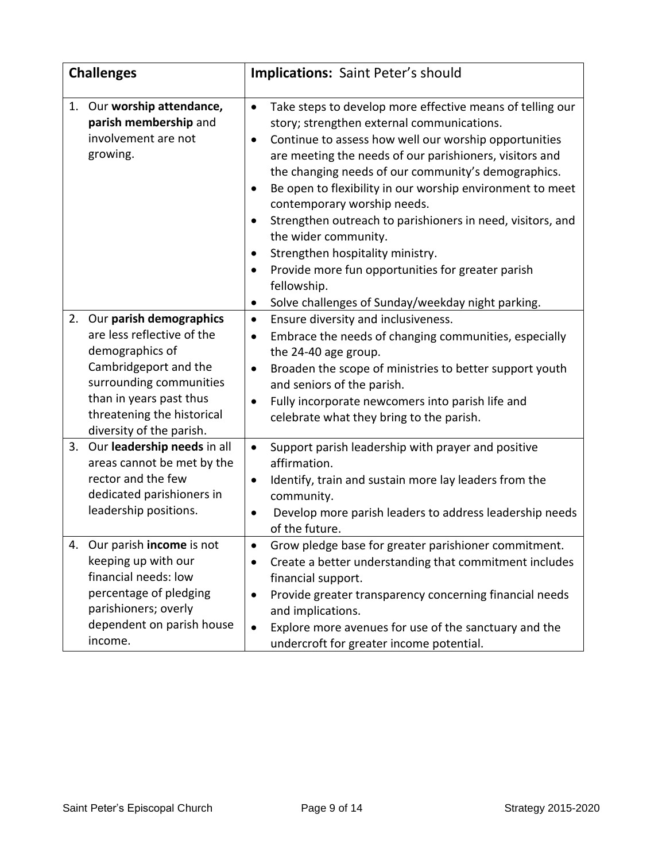| <b>Challenges</b> |                                                                                                                                                                                                                   | <b>Implications: Saint Peter's should</b>                                                                                                                                                                                                                                                                                                                                                                                                                                                                                                                                                                                                                                                                                    |
|-------------------|-------------------------------------------------------------------------------------------------------------------------------------------------------------------------------------------------------------------|------------------------------------------------------------------------------------------------------------------------------------------------------------------------------------------------------------------------------------------------------------------------------------------------------------------------------------------------------------------------------------------------------------------------------------------------------------------------------------------------------------------------------------------------------------------------------------------------------------------------------------------------------------------------------------------------------------------------------|
| 1.                | Our worship attendance,<br>parish membership and<br>involvement are not<br>growing.                                                                                                                               | Take steps to develop more effective means of telling our<br>$\bullet$<br>story; strengthen external communications.<br>Continue to assess how well our worship opportunities<br>$\bullet$<br>are meeting the needs of our parishioners, visitors and<br>the changing needs of our community's demographics.<br>Be open to flexibility in our worship environment to meet<br>$\bullet$<br>contemporary worship needs.<br>Strengthen outreach to parishioners in need, visitors, and<br>$\bullet$<br>the wider community.<br>Strengthen hospitality ministry.<br>$\bullet$<br>Provide more fun opportunities for greater parish<br>$\bullet$<br>fellowship.<br>Solve challenges of Sunday/weekday night parking.<br>$\bullet$ |
| 2.                | Our parish demographics<br>are less reflective of the<br>demographics of<br>Cambridgeport and the<br>surrounding communities<br>than in years past thus<br>threatening the historical<br>diversity of the parish. | Ensure diversity and inclusiveness.<br>$\bullet$<br>Embrace the needs of changing communities, especially<br>$\bullet$<br>the 24-40 age group.<br>Broaden the scope of ministries to better support youth<br>$\bullet$<br>and seniors of the parish.<br>Fully incorporate newcomers into parish life and<br>$\bullet$<br>celebrate what they bring to the parish.                                                                                                                                                                                                                                                                                                                                                            |
| 3.                | Our leadership needs in all<br>areas cannot be met by the<br>rector and the few<br>dedicated parishioners in<br>leadership positions.                                                                             | Support parish leadership with prayer and positive<br>$\bullet$<br>affirmation.<br>Identify, train and sustain more lay leaders from the<br>$\bullet$<br>community.<br>Develop more parish leaders to address leadership needs<br>$\bullet$<br>of the future.                                                                                                                                                                                                                                                                                                                                                                                                                                                                |
| 4.                | Our parish income is not<br>keeping up with our<br>financial needs: low<br>percentage of pledging<br>parishioners; overly<br>dependent on parish house<br>income.                                                 | Grow pledge base for greater parishioner commitment.<br>$\bullet$<br>Create a better understanding that commitment includes<br>financial support.<br>Provide greater transparency concerning financial needs<br>٠<br>and implications.<br>Explore more avenues for use of the sanctuary and the<br>$\bullet$<br>undercroft for greater income potential.                                                                                                                                                                                                                                                                                                                                                                     |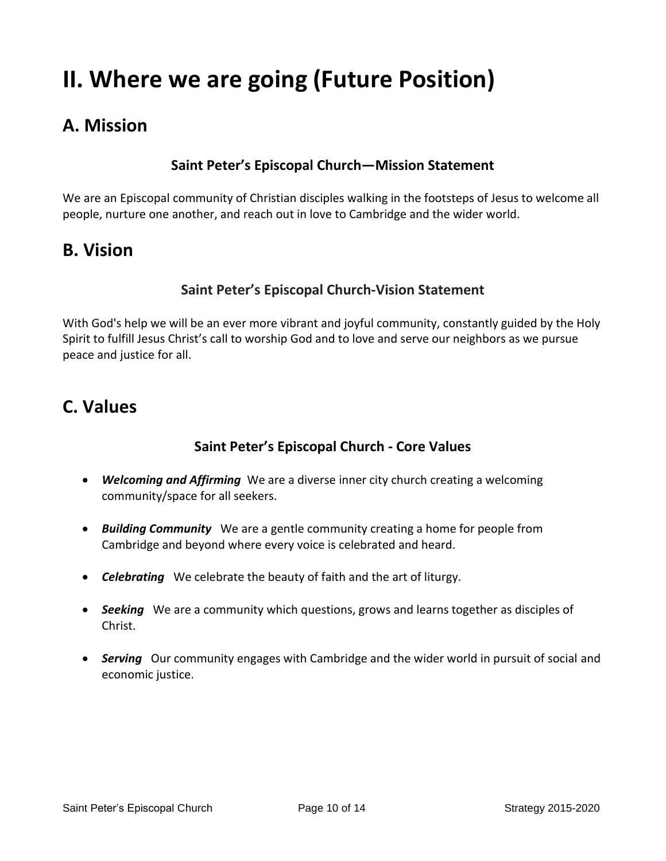# **II. Where we are going (Future Position)**

## **A. Mission**

#### **Saint Peter's Episcopal Church—Mission Statement**

We are an Episcopal community of Christian disciples walking in the footsteps of Jesus to welcome all people, nurture one another, and reach out in love to Cambridge and the wider world.

### **B. Vision**

#### **Saint Peter's Episcopal Church-Vision Statement**

With God's help we will be an ever more vibrant and joyful community, constantly guided by the Holy Spirit to fulfill Jesus Christ's call to worship God and to love and serve our neighbors as we pursue peace and justice for all.

### **C. Values**

#### **Saint Peter's Episcopal Church - Core Values**

- *Welcoming and Affirming* We are a diverse inner city church creating a welcoming community/space for all seekers.
- *Building Community* We are a gentle community creating a home for people from Cambridge and beyond where every voice is celebrated and heard.
- *Celebrating* We celebrate the beauty of faith and the art of liturgy.
- *Seeking* We are a community which questions, grows and learns together as disciples of Christ.
- *Serving* Our community engages with Cambridge and the wider world in pursuit of social and economic justice.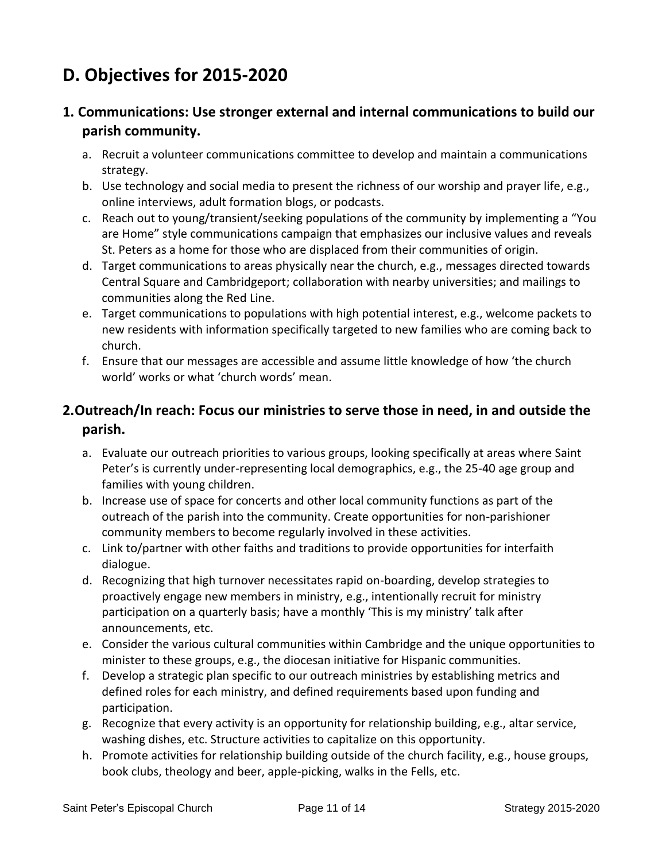## **D. Objectives for 2015-2020**

#### **1. Communications: Use stronger external and internal communications to build our parish community.**

- a. Recruit a volunteer communications committee to develop and maintain a communications strategy.
- b. Use technology and social media to present the richness of our worship and prayer life, e.g., online interviews, adult formation blogs, or podcasts.
- c. Reach out to young/transient/seeking populations of the community by implementing a "You are Home" style communications campaign that emphasizes our inclusive values and reveals St. Peters as a home for those who are displaced from their communities of origin.
- d. Target communications to areas physically near the church, e.g., messages directed towards Central Square and Cambridgeport; collaboration with nearby universities; and mailings to communities along the Red Line.
- e. Target communications to populations with high potential interest, e.g., welcome packets to new residents with information specifically targeted to new families who are coming back to church.
- f. Ensure that our messages are accessible and assume little knowledge of how 'the church world' works or what 'church words' mean.

#### **2.Outreach/In reach: Focus our ministries to serve those in need, in and outside the parish.**

- a. Evaluate our outreach priorities to various groups, looking specifically at areas where Saint Peter's is currently under-representing local demographics, e.g., the 25-40 age group and families with young children.
- b. Increase use of space for concerts and other local community functions as part of the outreach of the parish into the community. Create opportunities for non-parishioner community members to become regularly involved in these activities.
- c. Link to/partner with other faiths and traditions to provide opportunities for interfaith dialogue.
- d. Recognizing that high turnover necessitates rapid on-boarding, develop strategies to proactively engage new members in ministry, e.g., intentionally recruit for ministry participation on a quarterly basis; have a monthly 'This is my ministry' talk after announcements, etc.
- e. Consider the various cultural communities within Cambridge and the unique opportunities to minister to these groups, e.g., the diocesan initiative for Hispanic communities.
- f. Develop a strategic plan specific to our outreach ministries by establishing metrics and defined roles for each ministry, and defined requirements based upon funding and participation.
- g. Recognize that every activity is an opportunity for relationship building, e.g., altar service, washing dishes, etc. Structure activities to capitalize on this opportunity.
- h. Promote activities for relationship building outside of the church facility, e.g., house groups, book clubs, theology and beer, apple-picking, walks in the Fells, etc.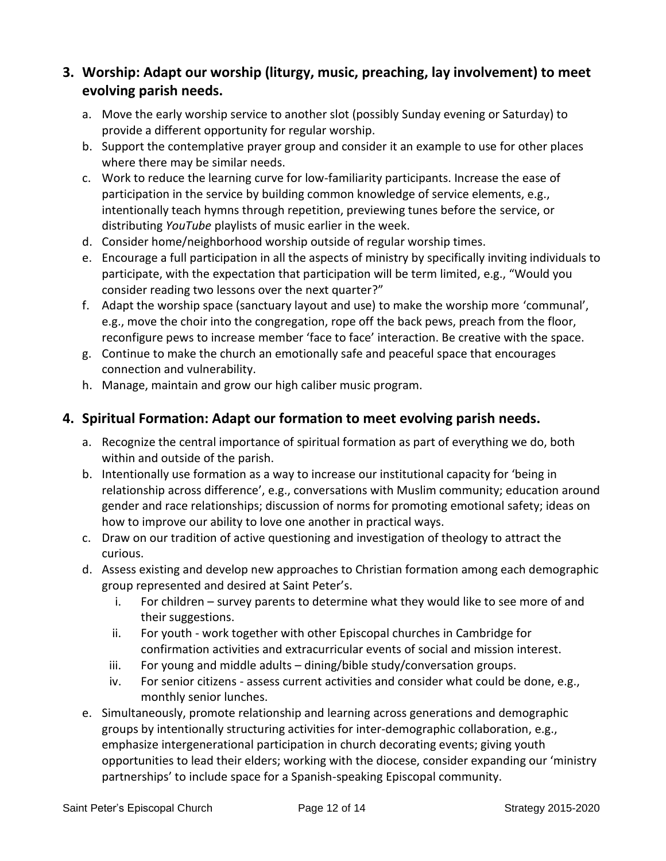#### **3. Worship: Adapt our worship (liturgy, music, preaching, lay involvement) to meet evolving parish needs.**

- a. Move the early worship service to another slot (possibly Sunday evening or Saturday) to provide a different opportunity for regular worship.
- b. Support the contemplative prayer group and consider it an example to use for other places where there may be similar needs.
- c. Work to reduce the learning curve for low-familiarity participants. Increase the ease of participation in the service by building common knowledge of service elements, e.g., intentionally teach hymns through repetition, previewing tunes before the service, or distributing *YouTube* playlists of music earlier in the week.
- d. Consider home/neighborhood worship outside of regular worship times.
- e. Encourage a full participation in all the aspects of ministry by specifically inviting individuals to participate, with the expectation that participation will be term limited, e.g., "Would you consider reading two lessons over the next quarter?"
- f. Adapt the worship space (sanctuary layout and use) to make the worship more 'communal', e.g., move the choir into the congregation, rope off the back pews, preach from the floor, reconfigure pews to increase member 'face to face' interaction. Be creative with the space.
- g. Continue to make the church an emotionally safe and peaceful space that encourages connection and vulnerability.
- h. Manage, maintain and grow our high caliber music program.

#### **4. Spiritual Formation: Adapt our formation to meet evolving parish needs.**

- a. Recognize the central importance of spiritual formation as part of everything we do, both within and outside of the parish.
- b. Intentionally use formation as a way to increase our institutional capacity for 'being in relationship across difference', e.g., conversations with Muslim community; education around gender and race relationships; discussion of norms for promoting emotional safety; ideas on how to improve our ability to love one another in practical ways.
- c. Draw on our tradition of active questioning and investigation of theology to attract the curious.
- d. Assess existing and develop new approaches to Christian formation among each demographic group represented and desired at Saint Peter's.
	- i. For children survey parents to determine what they would like to see more of and their suggestions.
	- ii. For youth work together with other Episcopal churches in Cambridge for confirmation activities and extracurricular events of social and mission interest.
	- iii. For young and middle adults  $-\frac{1}{2}$  dining/bible study/conversation groups.
	- iv. For senior citizens assess current activities and consider what could be done, e.g., monthly senior lunches.
- e. Simultaneously, promote relationship and learning across generations and demographic groups by intentionally structuring activities for inter-demographic collaboration, e.g., emphasize intergenerational participation in church decorating events; giving youth opportunities to lead their elders; working with the diocese, consider expanding our 'ministry partnerships' to include space for a Spanish-speaking Episcopal community.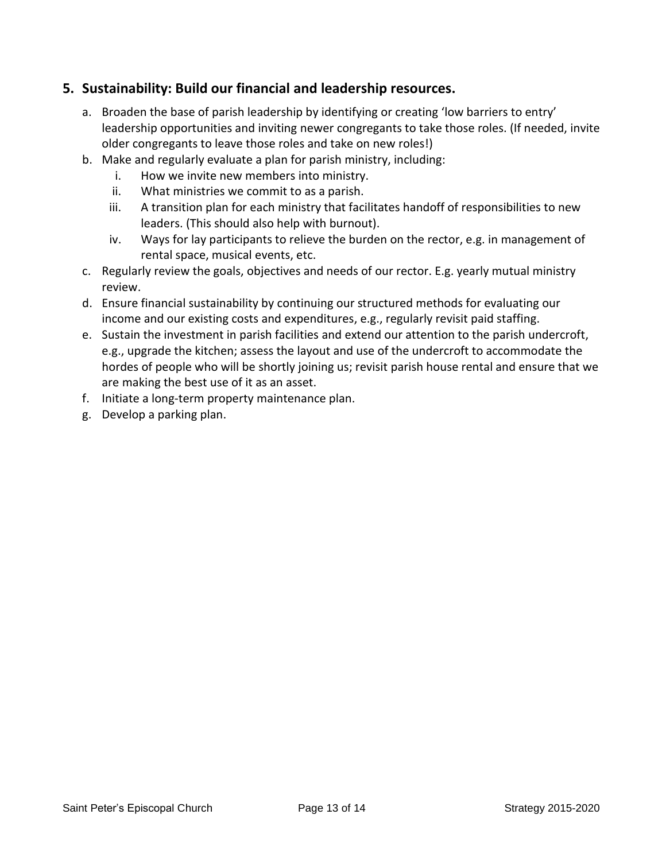#### **5. Sustainability: Build our financial and leadership resources.**

- a. Broaden the base of parish leadership by identifying or creating 'low barriers to entry' leadership opportunities and inviting newer congregants to take those roles. (If needed, invite older congregants to leave those roles and take on new roles!)
- b. Make and regularly evaluate a plan for parish ministry, including:
	- i. How we invite new members into ministry.
	- ii. What ministries we commit to as a parish.
	- iii. A transition plan for each ministry that facilitates handoff of responsibilities to new leaders. (This should also help with burnout).
	- iv. Ways for lay participants to relieve the burden on the rector, e.g. in management of rental space, musical events, etc.
- c. Regularly review the goals, objectives and needs of our rector. E.g. yearly mutual ministry review.
- d. Ensure financial sustainability by continuing our structured methods for evaluating our income and our existing costs and expenditures, e.g., regularly revisit paid staffing.
- e. Sustain the investment in parish facilities and extend our attention to the parish undercroft, e.g., upgrade the kitchen; assess the layout and use of the undercroft to accommodate the hordes of people who will be shortly joining us; revisit parish house rental and ensure that we are making the best use of it as an asset.
- f. Initiate a long-term property maintenance plan.
- g. Develop a parking plan.